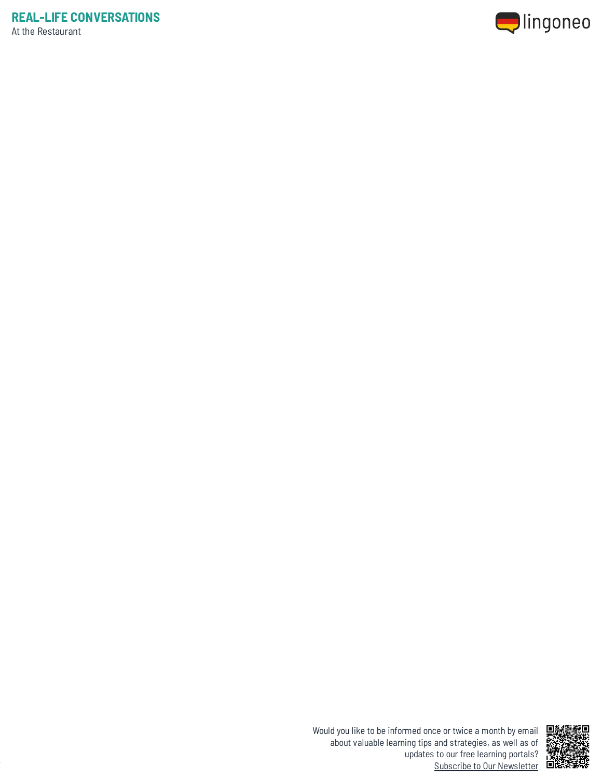



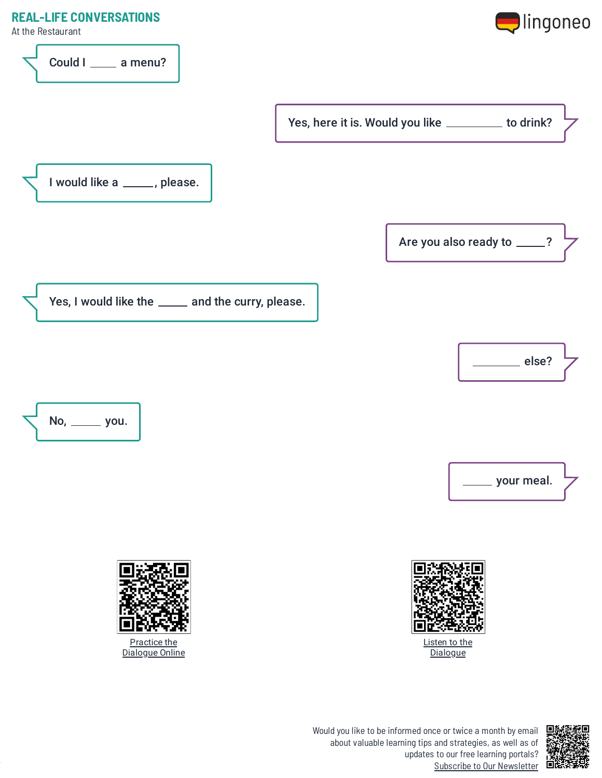

Could I \_\_\_\_\_ a menu?

At the Restaurant



Yes, here it is. Would you like \_\_\_\_\_\_\_\_ to drink?

I would like a \_\_\_\_\_, please.

Are you also ready to \_\_\_\_?

Yes, I would like the \_\_\_\_\_ and the curry, please.









Listen to the **[Dialogue](https://www.lingoneo.org/wp-content/uploads/media/audio/audio-dialogue/de-en/At%20the%20Restaurant%20Part%201%20-%20Dialogue%20(%20lingoneo.org%20).mp3)** 

updates to our free learning portals? Subscribe to Our [Newsletter](https://www.lingoneo.org/learn-german?channel=emailcampaignnewsletter&tcontent=so-m-27&tsource=srt_source)

Would you like to be informed once or twice a month by email about valuable learning tips and strategies, as well as of





Practice the [Dialogue](https://www.lingoneo.org/learn-german/page/online-course/page-2390-practice) Online